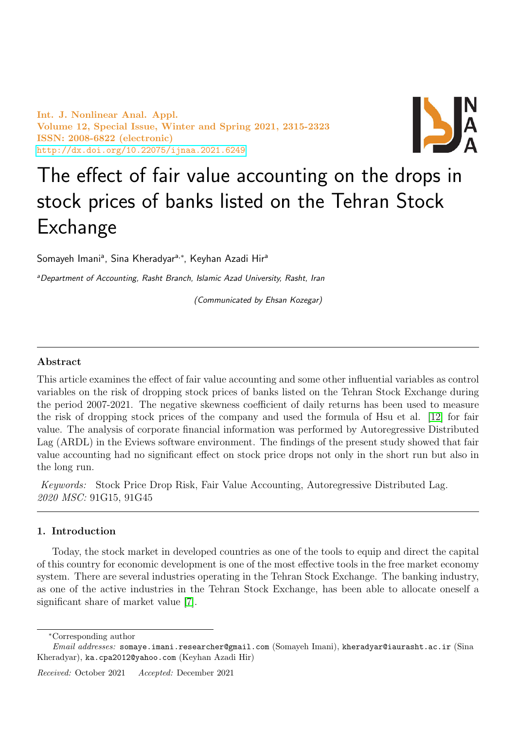Int. J. Nonlinear Anal. Appl. Volume 12, Special Issue, Winter and Spring 2021, 2315-2323 ISSN: 2008-6822 (electronic) <http://dx.doi.org/10.22075/ijnaa.2021.6249>



# The effect of fair value accounting on the drops in stock prices of banks listed on the Tehran Stock Exchange

Somayeh Imaniª, Sina Kheradyarª,\*, Keyhan Azadi Hirª

<sup>a</sup>Department of Accounting, Rasht Branch, Islamic Azad University, Rasht, Iran

(Communicated by Ehsan Kozegar)

# Abstract

This article examines the effect of fair value accounting and some other influential variables as control variables on the risk of dropping stock prices of banks listed on the Tehran Stock Exchange during the period 2007-2021. The negative skewness coefficient of daily returns has been used to measure the risk of dropping stock prices of the company and used the formula of Hsu et al. [\[12\]](#page-8-0) for fair value. The analysis of corporate financial information was performed by Autoregressive Distributed Lag (ARDL) in the Eviews software environment. The findings of the present study showed that fair value accounting had no significant effect on stock price drops not only in the short run but also in the long run.

Keywords: Stock Price Drop Risk, Fair Value Accounting, Autoregressive Distributed Lag. 2020 MSC: 91G15, 91G45

# 1. Introduction

Today, the stock market in developed countries as one of the tools to equip and direct the capital of this country for economic development is one of the most effective tools in the free market economy system. There are several industries operating in the Tehran Stock Exchange. The banking industry, as one of the active industries in the Tehran Stock Exchange, has been able to allocate oneself a significant share of market value [\[7\]](#page-8-1).

<sup>∗</sup>Corresponding author

Email addresses: somaye.imani.researcher@gmail.com (Somayeh Imani), kheradyar@iaurasht.ac.ir (Sina Kheradyar), ka.cpa2012@yahoo.com (Keyhan Azadi Hir)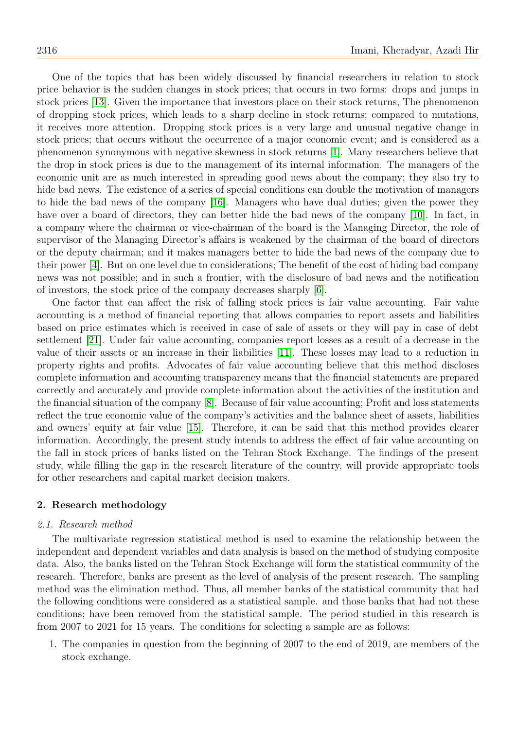One of the topics that has been widely discussed by financial researchers in relation to stock price behavior is the sudden changes in stock prices; that occurs in two forms: drops and jumps in stock prices [\[13\]](#page-8-2). Given the importance that investors place on their stock returns, The phenomenon of dropping stock prices, which leads to a sharp decline in stock returns; compared to mutations, it receives more attention. Dropping stock prices is a very large and unusual negative change in stock prices; that occurs without the occurrence of a major economic event; and is considered as a phenomenon synonymous with negative skewness in stock returns [\[1\]](#page-7-0). Many researchers believe that the drop in stock prices is due to the management of its internal information. The managers of the economic unit are as much interested in spreading good news about the company; they also try to hide bad news. The existence of a series of special conditions can double the motivation of managers to hide the bad news of the company [\[16\]](#page-8-3). Managers who have dual duties; given the power they have over a board of directors, they can better hide the bad news of the company [\[10\]](#page-8-4). In fact, in a company where the chairman or vice-chairman of the board is the Managing Director, the role of supervisor of the Managing Director's affairs is weakened by the chairman of the board of directors or the deputy chairman; and it makes managers better to hide the bad news of the company due to their power [\[4\]](#page-8-5). But on one level due to considerations; The benefit of the cost of hiding bad company news was not possible; and in such a frontier, with the disclosure of bad news and the notification of investors, the stock price of the company decreases sharply [\[6\]](#page-8-6).

One factor that can affect the risk of falling stock prices is fair value accounting. Fair value accounting is a method of financial reporting that allows companies to report assets and liabilities based on price estimates which is received in case of sale of assets or they will pay in case of debt settlement [\[21\]](#page-8-7). Under fair value accounting, companies report losses as a result of a decrease in the value of their assets or an increase in their liabilities [\[11\]](#page-8-8). These losses may lead to a reduction in property rights and profits. Advocates of fair value accounting believe that this method discloses complete information and accounting transparency means that the financial statements are prepared correctly and accurately and provide complete information about the activities of the institution and the financial situation of the company [\[8\]](#page-8-9). Because of fair value accounting; Profit and loss statements reflect the true economic value of the company's activities and the balance sheet of assets, liabilities and owners' equity at fair value [\[15\]](#page-8-10). Therefore, it can be said that this method provides clearer information. Accordingly, the present study intends to address the effect of fair value accounting on the fall in stock prices of banks listed on the Tehran Stock Exchange. The findings of the present study, while filling the gap in the research literature of the country, will provide appropriate tools for other researchers and capital market decision makers.

# 2. Research methodology

#### 2.1. Research method

The multivariate regression statistical method is used to examine the relationship between the independent and dependent variables and data analysis is based on the method of studying composite data. Also, the banks listed on the Tehran Stock Exchange will form the statistical community of the research. Therefore, banks are present as the level of analysis of the present research. The sampling method was the elimination method. Thus, all member banks of the statistical community that had the following conditions were considered as a statistical sample. and those banks that had not these conditions; have been removed from the statistical sample. The period studied in this research is from 2007 to 2021 for 15 years. The conditions for selecting a sample are as follows:

1. The companies in question from the beginning of 2007 to the end of 2019, are members of the stock exchange.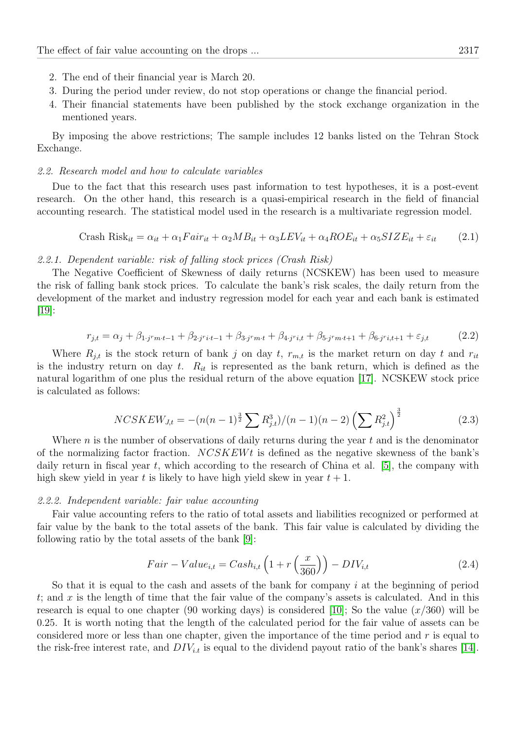- 2. The end of their financial year is March 20.
- 3. During the period under review, do not stop operations or change the financial period.
- 4. Their financial statements have been published by the stock exchange organization in the mentioned years.

By imposing the above restrictions; The sample includes 12 banks listed on the Tehran Stock Exchange.

### 2.2. Research model and how to calculate variables

Due to the fact that this research uses past information to test hypotheses, it is a post-event research. On the other hand, this research is a quasi-empirical research in the field of financial accounting research. The statistical model used in the research is a multivariate regression model.

$$
\text{Crash Risk}_{it} = \alpha_{it} + \alpha_1 \text{Fair}_{it} + \alpha_2 \text{MB}_{it} + \alpha_3 \text{LEV}_{it} + \alpha_4 \text{ROE}_{it} + \alpha_5 \text{SIZE}_{it} + \varepsilon_{it} \tag{2.1}
$$

## 2.2.1. Dependent variable: risk of falling stock prices (Crash Risk)

The Negative Coefficient of Skewness of daily returns (NCSKEW) has been used to measure the risk of falling bank stock prices. To calculate the bank's risk scales, the daily return from the development of the market and industry regression model for each year and each bank is estimated  $|19|$ :

$$
r_{j,t} = \alpha_j + \beta_{1\cdot j} r_{m \cdot t - 1} + \beta_{2\cdot j} r_{i \cdot t - 1} + \beta_{3\cdot j} r_{m \cdot t} + \beta_{4\cdot j} r_{i,t} + \beta_{5\cdot j} r_{m \cdot t + 1} + \beta_{6\cdot j} r_{i,t+1} + \varepsilon_{j,t}
$$
(2.2)

Where  $R_{j,t}$  is the stock return of bank j on day t,  $r_{m,t}$  is the market return on day t and  $r_{it}$ is the industry return on day t.  $R_{it}$  is represented as the bank return, which is defined as the natural logarithm of one plus the residual return of the above equation [\[17\]](#page-8-12). NCSKEW stock price is calculated as follows:

$$
NCSKEW_{J,t} = -(n(n-1)^{\frac{3}{2}} \sum R_{j,t}^3)/(n-1)(n-2) \left(\sum R_{j,t}^2\right)^{\frac{3}{2}}
$$
(2.3)

Where  $n$  is the number of observations of daily returns during the year  $t$  and is the denominator of the normalizing factor fraction.  $NCSKEWt$  is defined as the negative skewness of the bank's daily return in fiscal year t, which according to the research of China et al.  $[5]$ , the company with high skew yield in year t is likely to have high yield skew in year  $t + 1$ .

### 2.2.2. Independent variable: fair value accounting

Fair value accounting refers to the ratio of total assets and liabilities recognized or performed at fair value by the bank to the total assets of the bank. This fair value is calculated by dividing the following ratio by the total assets of the bank [\[9\]](#page-8-14):

$$
Fair - Value_{i,t} = Cash_{i,t} \left( 1 + r \left( \frac{x}{360} \right) \right) - DIV_{i,t}
$$
\n(2.4)

So that it is equal to the cash and assets of the bank for company  $i$  at the beginning of period t; and x is the length of time that the fair value of the company's assets is calculated. And in this research is equal to one chapter (90 working days) is considered [\[10\]](#page-8-4); So the value  $(x/360)$  will be 0.25. It is worth noting that the length of the calculated period for the fair value of assets can be considered more or less than one chapter, given the importance of the time period and  $r$  is equal to the risk-free interest rate, and  $DIV_{i,t}$  is equal to the dividend payout ratio of the bank's shares [\[14\]](#page-8-15).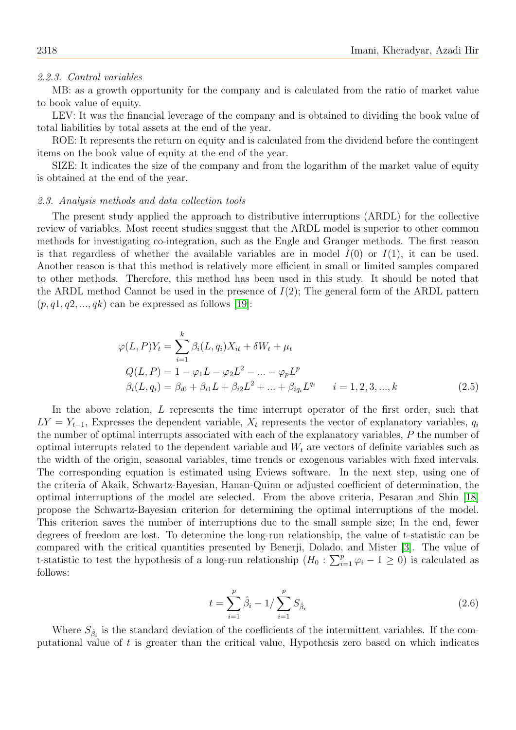#### 2.2.3. Control variables

MB: as a growth opportunity for the company and is calculated from the ratio of market value to book value of equity.

LEV: It was the financial leverage of the company and is obtained to dividing the book value of total liabilities by total assets at the end of the year.

ROE: It represents the return on equity and is calculated from the dividend before the contingent items on the book value of equity at the end of the year.

SIZE: It indicates the size of the company and from the logarithm of the market value of equity is obtained at the end of the year.

#### 2.3. Analysis methods and data collection tools

The present study applied the approach to distributive interruptions (ARDL) for the collective review of variables. Most recent studies suggest that the ARDL model is superior to other common methods for investigating co-integration, such as the Engle and Granger methods. The first reason is that regardless of whether the available variables are in model  $I(0)$  or  $I(1)$ , it can be used. Another reason is that this method is relatively more efficient in small or limited samples compared to other methods. Therefore, this method has been used in this study. It should be noted that the ARDL method Cannot be used in the presence of  $I(2)$ ; The general form of the ARDL pattern  $(p, q1, q2, \ldots, qk)$  can be expressed as follows [\[19\]](#page-8-11):

$$
\varphi(L, P)Y_t = \sum_{i=1}^k \beta_i (L, q_i) X_{it} + \delta W_t + \mu_t
$$
  
\n
$$
Q(L, P) = 1 - \varphi_1 L - \varphi_2 L^2 - \dots - \varphi_p L^p
$$
  
\n
$$
\beta_i (L, q_i) = \beta_{i0} + \beta_{i1} L + \beta_{i2} L^2 + \dots + \beta_{iq_i} L^{q_i} \qquad i = 1, 2, 3, \dots, k
$$
\n(2.5)

In the above relation, L represents the time interrupt operator of the first order, such that  $LY = Y_{t-1}$ , Expresses the dependent variable,  $X_t$  represents the vector of explanatory variables,  $q_i$ the number of optimal interrupts associated with each of the explanatory variables, P the number of optimal interrupts related to the dependent variable and  $W_t$  are vectors of definite variables such as the width of the origin, seasonal variables, time trends or exogenous variables with fixed intervals. The corresponding equation is estimated using Eviews software. In the next step, using one of the criteria of Akaik, Schwartz-Bayesian, Hanan-Quinn or adjusted coefficient of determination, the optimal interruptions of the model are selected. From the above criteria, Pesaran and Shin [\[18\]](#page-8-16) propose the Schwartz-Bayesian criterion for determining the optimal interruptions of the model. This criterion saves the number of interruptions due to the small sample size; In the end, fewer degrees of freedom are lost. To determine the long-run relationship, the value of t-statistic can be compared with the critical quantities presented by Benerji, Dolado, and Mister [\[3\]](#page-8-17). The value of t-statistic to test the hypothesis of a long-run relationship  $(H_0: \sum_{i=1}^p \varphi_i - 1 \ge 0)$  is calculated as follows:

$$
t = \sum_{i=1}^{p} \hat{\beta}_i - 1 / \sum_{i=1}^{p} S_{\hat{\beta}_i}
$$
 (2.6)

Where  $S_{\hat{\beta}_i}$  is the standard deviation of the coefficients of the intermittent variables. If the computational value of t is greater than the critical value, Hypothesis zero based on which indicates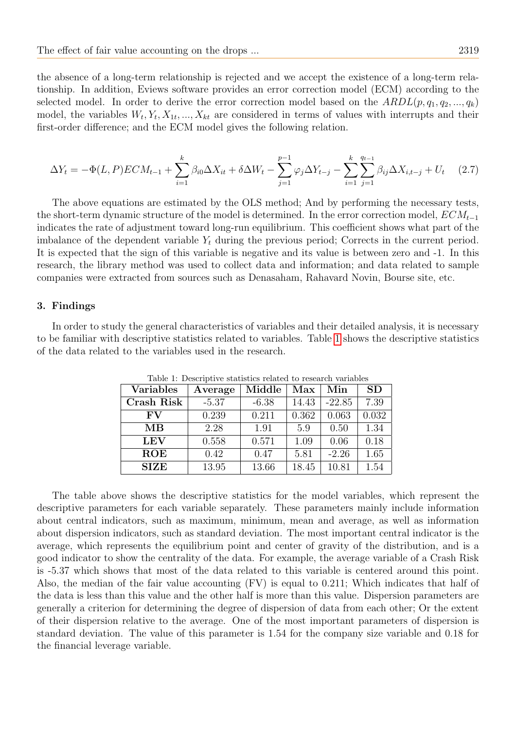the absence of a long-term relationship is rejected and we accept the existence of a long-term relationship. In addition, Eviews software provides an error correction model (ECM) according to the selected model. In order to derive the error correction model based on the  $ARDL(p, q_1, q_2, ..., q_k)$ model, the variables  $W_t, Y_t, X_{1t}, ..., X_{kt}$  are considered in terms of values with interrupts and their first-order difference; and the ECM model gives the following relation.

$$
\Delta Y_t = -\Phi(L, P)ECM_{t-1} + \sum_{i=1}^k \beta_{i0} \Delta X_{it} + \delta \Delta W_t - \sum_{j=1}^{p-1} \varphi_j \Delta Y_{t-j} - \sum_{i=1}^k \sum_{j=1}^{q_{t-1}} \beta_{ij} \Delta X_{i, t-j} + U_t \quad (2.7)
$$

The above equations are estimated by the OLS method; And by performing the necessary tests, the short-term dynamic structure of the model is determined. In the error correction model,  $ECM_{t-1}$ indicates the rate of adjustment toward long-run equilibrium. This coefficient shows what part of the imbalance of the dependent variable  $Y_t$  during the previous period; Corrects in the current period. It is expected that the sign of this variable is negative and its value is between zero and -1. In this research, the library method was used to collect data and information; and data related to sample companies were extracted from sources such as Denasaham, Rahavard Novin, Bourse site, etc.

# 3. Findings

In order to study the general characteristics of variables and their detailed analysis, it is necessary to be familiar with descriptive statistics related to variables. Table [1](#page-4-0) shows the descriptive statistics of the data related to the variables used in the research.

| <b>Variables</b>  | Average | Middle  | Max   | Min      | <b>SD</b> |
|-------------------|---------|---------|-------|----------|-----------|
| <b>Crash Risk</b> | $-5.37$ | $-6.38$ | 14.43 | $-22.85$ | 7.39      |
| FV                | 0.239   | 0.211   | 0.362 | 0.063    | 0.032     |
| $\rm MB$          | 2.28    | 1.91    | 5.9   | 0.50     | 1.34      |
| <b>LEV</b>        | 0.558   | 0.571   | 1.09  | 0.06     | 0.18      |
| <b>ROE</b>        | 0.42    | 0.47    | 5.81  | $-2.26$  | 1.65      |
| <b>SIZE</b>       | 13.95   | 13.66   | 18.45 | 10.81    | 1.54      |

<span id="page-4-0"></span>Table 1: Descriptive statistics related to research variables

The table above shows the descriptive statistics for the model variables, which represent the descriptive parameters for each variable separately. These parameters mainly include information about central indicators, such as maximum, minimum, mean and average, as well as information about dispersion indicators, such as standard deviation. The most important central indicator is the average, which represents the equilibrium point and center of gravity of the distribution, and is a good indicator to show the centrality of the data. For example, the average variable of a Crash Risk is -5.37 which shows that most of the data related to this variable is centered around this point. Also, the median of the fair value accounting (FV) is equal to 0.211; Which indicates that half of the data is less than this value and the other half is more than this value. Dispersion parameters are generally a criterion for determining the degree of dispersion of data from each other; Or the extent of their dispersion relative to the average. One of the most important parameters of dispersion is standard deviation. The value of this parameter is 1.54 for the company size variable and 0.18 for the financial leverage variable.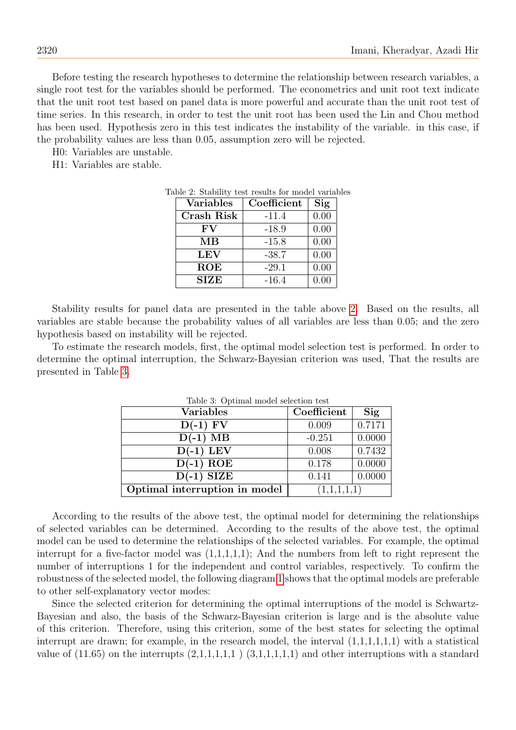Before testing the research hypotheses to determine the relationship between research variables, a single root test for the variables should be performed. The econometrics and unit root text indicate that the unit root test based on panel data is more powerful and accurate than the unit root test of time series. In this research, in order to test the unit root has been used the Lin and Chou method has been used. Hypothesis zero in this test indicates the instability of the variable. in this case, if the probability values are less than 0.05, assumption zero will be rejected.

- H0: Variables are unstable.
- H1: Variables are stable.

<span id="page-5-0"></span>

| <b>Variables</b> | Coefficient | Sig  |
|------------------|-------------|------|
| Crash Risk       | $-11.4$     | 0.00 |
| $\bf{F}V$        | $-18.9$     | 0.00 |
| MВ               | $-15.8$     | 0.00 |
| <b>LEV</b>       | $-38.7$     | 0.00 |
| <b>ROE</b>       | $-29.1$     | 0.00 |
| <b>SIZE</b>      | $-16.4$     | 0.00 |

| Table 2: Stability test results for model variables |  |  |  |
|-----------------------------------------------------|--|--|--|
|                                                     |  |  |  |

Stability results for panel data are presented in the table above [2.](#page-5-0) Based on the results, all variables are stable because the probability values of all variables are less than 0.05; and the zero hypothesis based on instability will be rejected.

To estimate the research models, first, the optimal model selection test is performed. In order to determine the optimal interruption, the Schwarz-Bayesian criterion was used, That the results are presented in Table [3.](#page-5-1)

| Table 3: Optimal model selection test |             |        |  |  |
|---------------------------------------|-------------|--------|--|--|
| <b>Variables</b>                      | Coefficient | Sig    |  |  |
| $D(-1)$ FV                            | 0.009       | 0.7171 |  |  |
| $D(-1)$ MB                            | $-0.251$    | 0.0000 |  |  |
| $D(-1)$ LEV                           | 0.008       | 0.7432 |  |  |
| $D(-1)$ ROE                           | 0.178       | 0.0000 |  |  |
| $D(-1)$ SIZE                          | 0.141       | 0.0000 |  |  |
| Optimal interruption in model         | (1,1,1,1,1) |        |  |  |

<span id="page-5-1"></span>

According to the results of the above test, the optimal model for determining the relationships of selected variables can be determined. According to the results of the above test, the optimal model can be used to determine the relationships of the selected variables. For example, the optimal interrupt for a five-factor model was  $(1,1,1,1,1)$ ; And the numbers from left to right represent the number of interruptions 1 for the independent and control variables, respectively. To confirm the robustness of the selected model, the following diagram [1](#page-6-0) shows that the optimal models are preferable to other self-explanatory vector modes:

Since the selected criterion for determining the optimal interruptions of the model is Schwartz-Bayesian and also, the basis of the Schwarz-Bayesian criterion is large and is the absolute value of this criterion. Therefore, using this criterion, some of the best states for selecting the optimal interrupt are drawn; for example, in the research model, the interval  $(1,1,1,1,1,1)$  with a statistical value of  $(11.65)$  on the interrupts  $(2,1,1,1,1,1)$   $(3,1,1,1,1,1)$  and other interruptions with a standard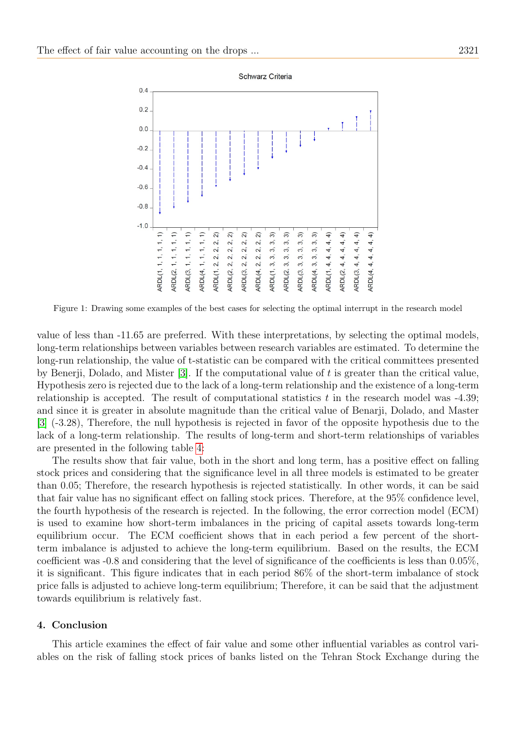

<span id="page-6-0"></span>Figure 1: Drawing some examples of the best cases for selecting the optimal interrupt in the research model

value of less than -11.65 are preferred. With these interpretations, by selecting the optimal models, long-term relationships between variables between research variables are estimated. To determine the long-run relationship, the value of t-statistic can be compared with the critical committees presented by Benerji, Dolado, and Mister  $[3]$ . If the computational value of t is greater than the critical value, Hypothesis zero is rejected due to the lack of a long-term relationship and the existence of a long-term relationship is accepted. The result of computational statistics  $t$  in the research model was  $-4.39$ ; and since it is greater in absolute magnitude than the critical value of Benarji, Dolado, and Master [\[3\]](#page-8-17) (-3.28), Therefore, the null hypothesis is rejected in favor of the opposite hypothesis due to the lack of a long-term relationship. The results of long-term and short-term relationships of variables are presented in the following table [4:](#page-7-1)

The results show that fair value, both in the short and long term, has a positive effect on falling stock prices and considering that the significance level in all three models is estimated to be greater than 0.05; Therefore, the research hypothesis is rejected statistically. In other words, it can be said that fair value has no significant effect on falling stock prices. Therefore, at the 95% confidence level, the fourth hypothesis of the research is rejected. In the following, the error correction model (ECM) is used to examine how short-term imbalances in the pricing of capital assets towards long-term equilibrium occur. The ECM coefficient shows that in each period a few percent of the shortterm imbalance is adjusted to achieve the long-term equilibrium. Based on the results, the ECM coefficient was -0.8 and considering that the level of significance of the coefficients is less than 0.05%, it is significant. This figure indicates that in each period 86% of the short-term imbalance of stock price falls is adjusted to achieve long-term equilibrium; Therefore, it can be said that the adjustment towards equilibrium is relatively fast.

#### 4. Conclusion

This article examines the effect of fair value and some other influential variables as control variables on the risk of falling stock prices of banks listed on the Tehran Stock Exchange during the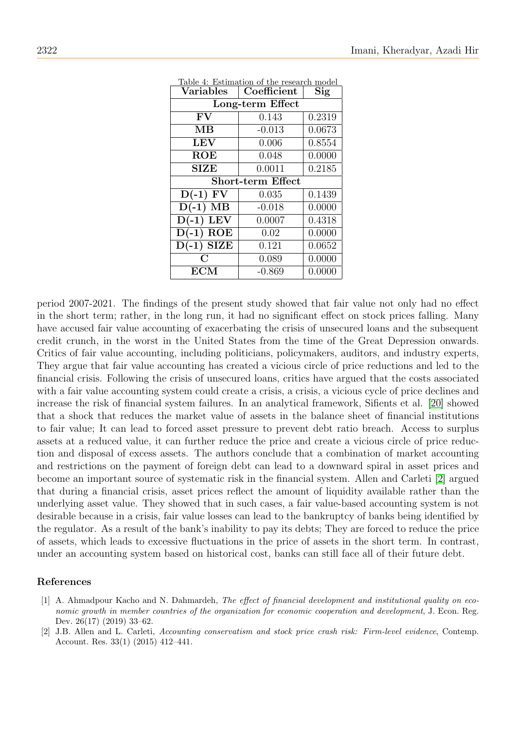| <b>Variables</b>         | Coefficient | Sig    |  |  |
|--------------------------|-------------|--------|--|--|
| Long-term Effect         |             |        |  |  |
| FV                       | 0.143       | 0.2319 |  |  |
| $\rm MB$                 | $-0.013$    | 0.0673 |  |  |
| <b>LEV</b>               | 0.006       | 0.8554 |  |  |
| <b>ROE</b>               | 0.048       | 0.0000 |  |  |
| <b>SIZE</b>              | 0.0011      | 0.2185 |  |  |
| <b>Short-term Effect</b> |             |        |  |  |
| $D(-1)$ FV               | 0.035       | 0.1439 |  |  |
| $D(-1)$ MB               | $-0.018$    | 0.0000 |  |  |
| $D(-1)$ LEV              | 0.0007      | 0.4318 |  |  |
| $D(-1)$ ROE              | 0.02        | 0.0000 |  |  |
| $D(-1)$ SIZE             | 0.121       | 0.0652 |  |  |
| C                        | 0.089       | 0.0000 |  |  |
| ECM                      | $-0.869$    | 0.0000 |  |  |

<span id="page-7-1"></span>Table 4: Estimation of the research model

period 2007-2021. The findings of the present study showed that fair value not only had no effect in the short term; rather, in the long run, it had no significant effect on stock prices falling. Many have accused fair value accounting of exacerbating the crisis of unsecured loans and the subsequent credit crunch, in the worst in the United States from the time of the Great Depression onwards. Critics of fair value accounting, including politicians, policymakers, auditors, and industry experts, They argue that fair value accounting has created a vicious circle of price reductions and led to the financial crisis. Following the crisis of unsecured loans, critics have argued that the costs associated with a fair value accounting system could create a crisis, a crisis, a vicious cycle of price declines and increase the risk of financial system failures. In an analytical framework, Sifients et al. [\[20\]](#page-8-18) showed that a shock that reduces the market value of assets in the balance sheet of financial institutions to fair value; It can lead to forced asset pressure to prevent debt ratio breach. Access to surplus assets at a reduced value, it can further reduce the price and create a vicious circle of price reduction and disposal of excess assets. The authors conclude that a combination of market accounting and restrictions on the payment of foreign debt can lead to a downward spiral in asset prices and become an important source of systematic risk in the financial system. Allen and Carleti [\[2\]](#page-7-2) argued that during a financial crisis, asset prices reflect the amount of liquidity available rather than the underlying asset value. They showed that in such cases, a fair value-based accounting system is not desirable because in a crisis, fair value losses can lead to the bankruptcy of banks being identified by the regulator. As a result of the bank's inability to pay its debts; They are forced to reduce the price of assets, which leads to excessive fluctuations in the price of assets in the short term. In contrast, under an accounting system based on historical cost, banks can still face all of their future debt.

### References

- <span id="page-7-0"></span>[1] A. Ahmadpour Kacho and N. Dahmardeh, *The effect of financial development and institutional quality on eco*nomic growth in member countries of the organization for economic cooperation and development, J. Econ. Reg. Dev. 26(17) (2019) 33–62.
- <span id="page-7-2"></span>[2] J.B. Allen and L. Carleti, Accounting conservatism and stock price crash risk: Firm-level evidence, Contemp. Account. Res. 33(1) (2015) 412–441.